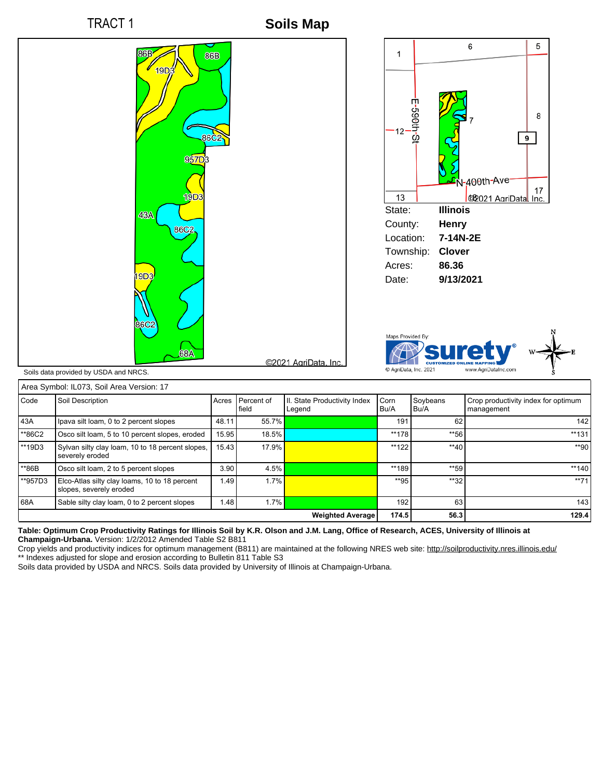

**Soils Map**



|                         | Alea Syllibol. ILO73, Soil Alea Version. Tr                              |       |                     |                                        |              |                  |                                                   |
|-------------------------|--------------------------------------------------------------------------|-------|---------------------|----------------------------------------|--------------|------------------|---------------------------------------------------|
| Code                    | Soil Description                                                         | Acres | Percent of<br>field | II. State Productivity Index<br>Legend | Corn<br>Bu/A | Sovbeans<br>Bu/A | Crop productivity index for optimum<br>management |
| 43A                     | Ipava silt loam, 0 to 2 percent slopes                                   | 48.11 | 55.7%               |                                        | 191          | 62               | 142                                               |
| **86C2                  | Osco silt loam, 5 to 10 percent slopes, eroded                           | 15.95 | 18.5%               |                                        | $**178$      | **56             | $**131$                                           |
| $**19D3$                | Sylvan silty clay loam, 10 to 18 percent slopes,<br>severely eroded      | 15.43 | $17.9\%$            |                                        | $**122$      | $**40$           | **90                                              |
| **86B                   | Osco silt loam, 2 to 5 percent slopes                                    | 3.90  | 4.5%                |                                        | **189        | **59             | $**140$                                           |
| **957D3                 | Elco-Atlas silty clay loams, 10 to 18 percent<br>slopes, severely eroded | 1.49  | $1.7\%$             |                                        | $*$ 95       | $**32$           | $**71$                                            |
| 68A                     | Sable silty clay loam, 0 to 2 percent slopes                             | 1.48  | $1.7\%$             |                                        | 192          | 63               | 143                                               |
| <b>Weighted Average</b> |                                                                          |       |                     |                                        | 174.5        | 56.3             | 129.4                                             |

## **Table: Optimum Crop Productivity Ratings for Illinois Soil by K.R. Olson and J.M. Lang, Office of Research, ACES, University of Illinois at Champaign-Urbana.** Version: 1/2/2012 Amended Table S2 B811

Crop yields and productivity indices for optimum management (B811) are maintained at the following NRES web site: http://soilproductivity.nres.illinois.edu/ \*\* Indexes adjusted for slope and erosion according to Bulletin 811 Table S3

Soils data provided by USDA and NRCS. Soils data provided by University of Illinois at Champaign-Urbana.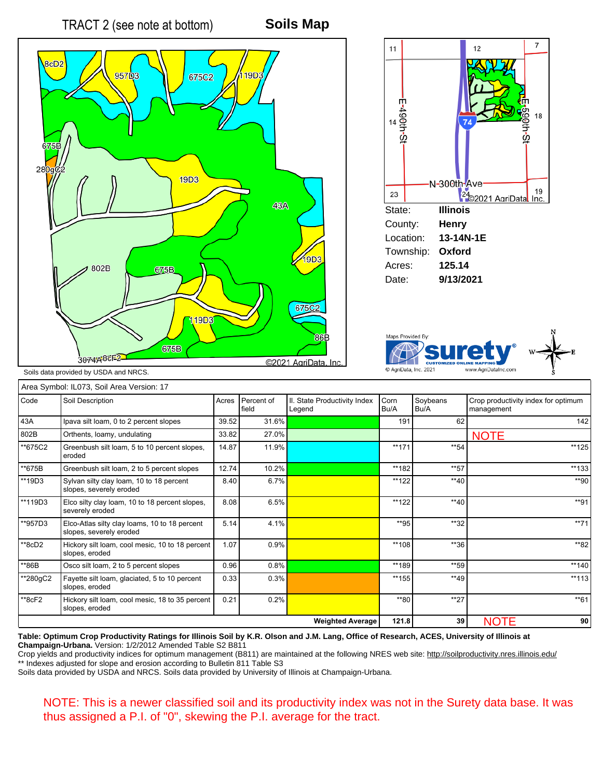





Soils data provided by USDA and NRCS.

|          | Area Symbol: IL073, Soil Area Version: 17                                |       |                     |                                        |              |                  |                                                   |
|----------|--------------------------------------------------------------------------|-------|---------------------|----------------------------------------|--------------|------------------|---------------------------------------------------|
| Code     | Soil Description                                                         | Acres | Percent of<br>field | II. State Productivity Index<br>Legend | Corn<br>Bu/A | Soybeans<br>Bu/A | Crop productivity index for optimum<br>management |
| 43A      | Ipava silt loam, 0 to 2 percent slopes                                   | 39.52 | 31.6%               |                                        | 191          | 62               | 142                                               |
| 802B     | Orthents, loamy, undulating                                              | 33.82 | 27.0%               |                                        |              |                  | <b>NOTE</b>                                       |
| **675C2  | Greenbush silt loam, 5 to 10 percent slopes,<br>eroded                   | 14.87 | 11.9%               |                                        | $**171$      | **54             | **125                                             |
| **675B   | Greenbush silt loam, 2 to 5 percent slopes                               | 12.74 | 10.2%               |                                        | **182        | **57             | **133                                             |
| **19D3   | Sylvan silty clay loam, 10 to 18 percent<br>slopes, severely eroded      | 8.40  | 6.7%                |                                        | **122        | $**40$           | **90                                              |
| **119D3  | Elco silty clay loam, 10 to 18 percent slopes,<br>severely eroded        | 8.08  | 6.5%                |                                        | $**122$      | $**40$           | $*$ *91                                           |
| **957D3  | Elco-Atlas silty clay loams, 10 to 18 percent<br>slopes, severely eroded | 5.14  | 4.1%                |                                        | **95         | $**32$           | $**71$                                            |
| **8cD2   | Hickory silt loam, cool mesic, 10 to 18 percent<br>slopes, eroded        | 1.07  | 0.9%                |                                        | **108        | **36             | **82                                              |
| **86B    | Osco silt loam, 2 to 5 percent slopes                                    | 0.96  | 0.8%                |                                        | **189        | **59             | $**140$                                           |
| **280gC2 | Fayette silt loam, glaciated, 5 to 10 percent<br>slopes, eroded          | 0.33  | 0.3%                |                                        | $**155$      | $**49$           | $**113$                                           |
| $*8cF2$  | Hickory silt loam, cool mesic, 18 to 35 percent<br>slopes, eroded        | 0.21  | 0.2%                |                                        | **80         | $**27$           | $*$ <sup>61</sup>                                 |
|          |                                                                          |       |                     | <b>Weighted Average</b>                | 121.8        | 39               | <b>NOTE</b><br>90                                 |

**Table: Optimum Crop Productivity Ratings for Illinois Soil by K.R. Olson and J.M. Lang, Office of Research, ACES, University of Illinois at Champaign-Urbana.** Version: 1/2/2012 Amended Table S2 B811

Crop yields and productivity indices for optimum management (B811) are maintained at the following NRES web site: http://soilproductivity.nres.illinois.edu/ \*\* Indexes adjusted for slope and erosion according to Bulletin 811 Table S3

Soils data provided by USDA and NRCS. Soils data provided by University of Illinois at Champaign-Urbana.

NOTE: This is a newer classified soil and its productivity index was not in the Surety data base. It was thus assigned a P.I. of "0", skewing the P.I. average for the tract.